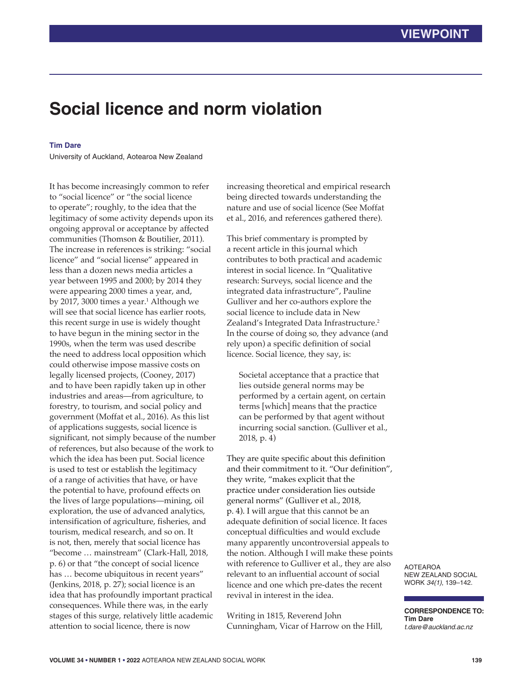# **Social licence and norm violation**

## **Tim Dare**

University of Auckland, Aotearoa New Zealand

It has become increasingly common to refer to "social licence" or "the social licence to operate"; roughly, to the idea that the legitimacy of some activity depends upon its ongoing approval or acceptance by affected communities (Thomson & Boutilier, 2011). The increase in references is striking: "social licence" and "social license" appeared in less than a dozen news media articles a year between 1995 and 2000; by 2014 they were appearing 2000 times a year, and, by 2017, 3000 times a year.<sup>1</sup> Although we will see that social licence has earlier roots, this recent surge in use is widely thought to have begun in the mining sector in the 1990s, when the term was used describe the need to address local opposition which could otherwise impose massive costs on legally licensed projects, (Cooney, 2017) and to have been rapidly taken up in other industries and areas—from agriculture, to forestry, to tourism, and social policy and government (Moffat et al., 2016). As this list of applications suggests, social licence is significant, not simply because of the number of references, but also because of the work to which the idea has been put. Social licence is used to test or establish the legitimacy of a range of activities that have, or have the potential to have, profound effects on the lives of large populations—mining, oil exploration, the use of advanced analytics, intensification of agriculture, fisheries, and tourism, medical research, and so on. It is not, then, merely that social licence has "become … mainstream" (Clark-Hall, 2018, p. 6) or that "the concept of social licence has … become ubiquitous in recent years" (Jenkins, 2018, p. 27); social licence is an idea that has profoundly important practical consequences. While there was, in the early stages of this surge, relatively little academic attention to social licence, there is now

increasing theoretical and empirical research being directed towards understanding the nature and use of social licence (See Moffat et al., 2016, and references gathered there).

This brief commentary is prompted by a recent article in this journal which contributes to both practical and academic interest in social licence. In "Qualitative research: Surveys, social licence and the integrated data infrastructure", Pauline Gulliver and her co-authors explore the social licence to include data in New Zealand's Integrated Data Infrastructure.<sup>2</sup> In the course of doing so, they advance (and rely upon) a specific definition of social licence. Social licence, they say, is:

Societal acceptance that a practice that lies outside general norms may be performed by a certain agent, on certain terms [which] means that the practice can be performed by that agent without incurring social sanction. (Gulliver et al., 2018, p. 4)

They are quite specific about this definition and their commitment to it. "Our definition", they write, "makes explicit that the practice under consideration lies outside general norms" (Gulliver et al., 2018, p. 4). I will argue that this cannot be an adequate definition of social licence. It faces conceptual difficulties and would exclude many apparently uncontroversial appeals to the notion. Although I will make these points with reference to Gulliver et al., they are also relevant to an influential account of social licence and one which pre-dates the recent revival in interest in the idea.

Writing in 1815, Reverend John Cunningham, Vicar of Harrow on the Hill, AOTEAROA NEW ZEALAND SOCIAL WORK *34(1)*, 139–142.

**CORRESPONDENCE TO: Tim Dare** *t.dare@auckland.ac.nz*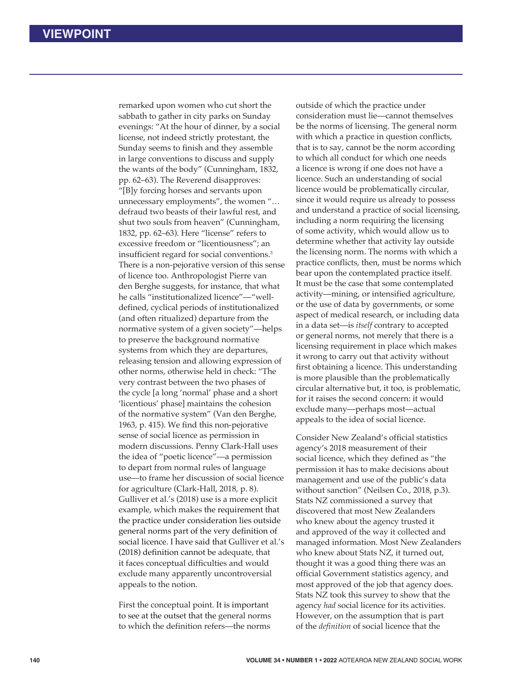remarked upon women who cut short the sabbath to gather in city parks on Sunday evenings: "At the hour of dinner, by a social license, not indeed strictly protestant, the Sunday seems to finish and they assemble in large conventions to discuss and supply the wants of the body" (Cunningham, 1832, pp. 62–63). The Reverend disapproves: "[B]y forcing horses and servants upon unnecessary employments", the women "… defraud two beasts of their lawful rest, and shut two souls from heaven" (Cunningham, 1832, pp. 62–63). Here "license" refers to excessive freedom or "licentiousness"; an insufficient regard for social conventions.<sup>3</sup> There is a non-pejorative version of this sense of licence too. Anthropologist Pierre van den Berghe suggests, for instance, that what he calls "institutionalized licence"—"welldefined, cyclical periods of institutionalized (and often ritualized) departure from the normative system of a given society"—helps to preserve the background normative systems from which they are departures, releasing tension and allowing expression of other norms, otherwise held in check: "The very contrast between the two phases of the cycle [a long 'normal' phase and a short 'licentious' phase] maintains the cohesion of the normative system" (Van den Berghe, 1963, p. 415). We find this non-pejorative sense of social licence as permission in modern discussions. Penny Clark-Hall uses the idea of "poetic licence"—a permission to depart from normal rules of language use—to frame her discussion of social licence for agriculture (Clark-Hall, 2018, p. 8). Gulliver et al.'s (2018) use is a more explicit example, which makes the requirement that the practice under consideration lies outside general norms part of the very definition of social licence. I have said that Gulliver et al.'s (2018) definition cannot be adequate, that it faces conceptual difficulties and would exclude many apparently uncontroversial appeals to the notion.

First the conceptual point. It is important to see at the outset that the general norms to which the definition refers—the norms

outside of which the practice under consideration must lie—cannot themselves be the norms of licensing. The general norm with which a practice in question conflicts, that is to say, cannot be the norm according to which all conduct for which one needs a licence is wrong if one does not have a licence. Such an understanding of social licence would be problematically circular, since it would require us already to possess and understand a practice of social licensing, including a norm requiring the licensing of some activity, which would allow us to determine whether that activity lay outside the licensing norm. The norms with which a practice conflicts, then, must be norms which bear upon the contemplated practice itself. It must be the case that some contemplated activity—mining, or intensified agriculture, or the use of data by governments, or some aspect of medical research, or including data in a data set—is *itself* contrary to accepted or general norms, not merely that there is a licensing requirement in place which makes it wrong to carry out that activity without first obtaining a licence. This understanding is more plausible than the problematically circular alternative but, it too, is problematic, for it raises the second concern: it would exclude many—perhaps most—actual appeals to the idea of social licence.

Consider New Zealand's official statistics agency's 2018 measurement of their social licence, which they defined as "the permission it has to make decisions about management and use of the public's data without sanction" (Neilsen Co., 2018, p.3). Stats NZ commissioned a survey that discovered that most New Zealanders who knew about the agency trusted it and approved of the way it collected and managed information. Most New Zealanders who knew about Stats NZ, it turned out, thought it was a good thing there was an official Government statistics agency, and most approved of the job that agency does. Stats NZ took this survey to show that the agency *had* social licence for its activities. However, on the assumption that is part of the *definition* of social licence that the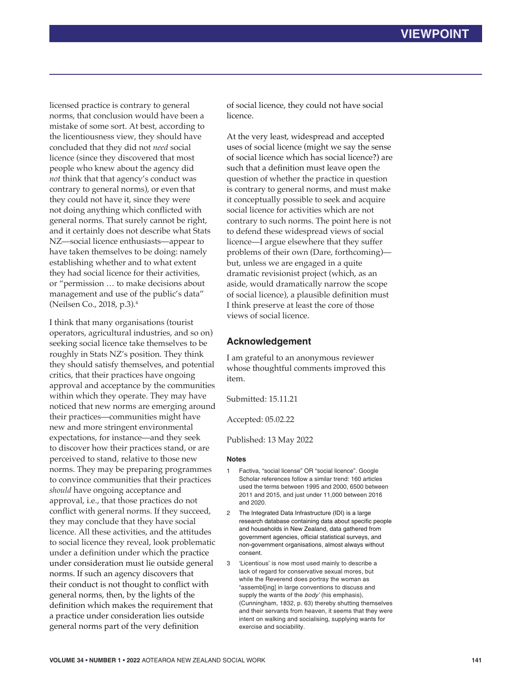licensed practice is contrary to general norms, that conclusion would have been a mistake of some sort. At best, according to the licentiousness view, they should have concluded that they did not *need* social licence (since they discovered that most people who knew about the agency did *not* think that that agency's conduct was contrary to general norms), or even that they could not have it, since they were not doing anything which conflicted with general norms. That surely cannot be right, and it certainly does not describe what Stats NZ—social licence enthusiasts—appear to have taken themselves to be doing: namely establishing whether and to what extent they had social licence for their activities, or "permission … to make decisions about management and use of the public's data" (Neilsen Co., 2018, p.3).4

I think that many organisations (tourist operators, agricultural industries, and so on) seeking social licence take themselves to be roughly in Stats NZ's position. They think they should satisfy themselves, and potential critics, that their practices have ongoing approval and acceptance by the communities within which they operate. They may have noticed that new norms are emerging around their practices—communities might have new and more stringent environmental expectations, for instance—and they seek to discover how their practices stand, or are perceived to stand, relative to those new norms. They may be preparing programmes to convince communities that their practices *should* have ongoing acceptance and approval, i.e., that those practices do not conflict with general norms. If they succeed, they may conclude that they have social licence. All these activities, and the attitudes to social licence they reveal, look problematic under a definition under which the practice under consideration must lie outside general norms. If such an agency discovers that their conduct is not thought to conflict with general norms, then, by the lights of the definition which makes the requirement that a practice under consideration lies outside general norms part of the very definition

of social licence, they could not have social licence.

At the very least, widespread and accepted uses of social licence (might we say the sense of social licence which has social licence?) are such that a definition must leave open the question of whether the practice in question is contrary to general norms, and must make it conceptually possible to seek and acquire social licence for activities which are not contrary to such norms. The point here is not to defend these widespread views of social licence—I argue elsewhere that they suffer problems of their own (Dare, forthcoming) but, unless we are engaged in a quite dramatic revisionist project (which, as an aside, would dramatically narrow the scope of social licence), a plausible definition must I think preserve at least the core of those views of social licence.

# **Acknowledgement**

I am grateful to an anonymous reviewer whose thoughtful comments improved this item.

Submitted: 15.11.21

Accepted: 05.02.22

Published: 13 May 2022

### **Notes**

- Factiva, "social license" OR "social licence". Google Scholar references follow a similar trend: 160 articles used the terms between 1995 and 2000, 6500 between 2011 and 2015, and just under 11,000 between 2016 and 2020.
- 2 The Integrated Data Infrastructure (IDI) is a large research database containing data about specific people and households in New Zealand, data gathered from government agencies, official statistical surveys, and non-government organisations, almost always without consent.
- 3 'Licentious' is now most used mainly to describe a lack of regard for conservative sexual mores, but while the Reverend does portray the woman as "assembl[ing] in large conventions to discuss and supply the wants of the *body'* (his emphasis), (Cunningham, 1832, p. 63) thereby shutting themselves and their servants from heaven, it seems that they were intent on walking and socialising, supplying wants for exercise and sociability.